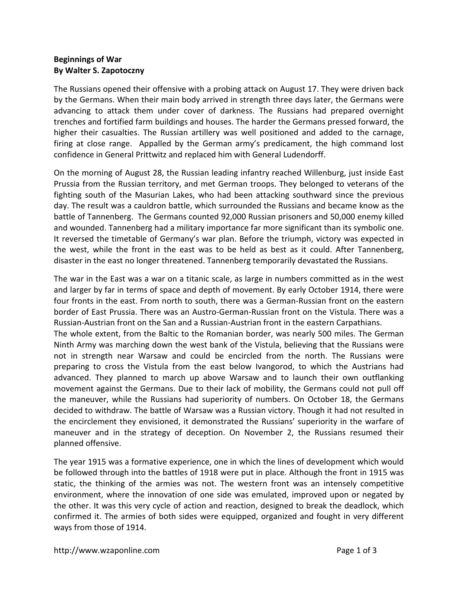## **Beginnings of War By Walter S. Zapotoczny**

The Russians opened their offensive with a probing attack on August 17. They were driven back by the Germans. When their main body arrived in strength three days later, the Germans were advancing to attack them under cover of darkness. The Russians had prepared overnight trenches and fortified farm buildings and houses. The harder the Germans pressed forward, the higher their casualties. The Russian artillery was well positioned and added to the carnage, firing at close range. Appalled by the German army's predicament, the high command lost confidence in General Prittwitz and replaced him with General Ludendorff.

On the morning of August 28, the Russian leading infantry reached Willenburg, just inside East Prussia from the Russian territory, and met German troops. They belonged to veterans of the fighting south of the Masurian Lakes, who had been attacking southward since the previous day. The result was a cauldron battle, which surrounded the Russians and became know as the battle of Tannenberg. The Germans counted 92,000 Russian prisoners and 50,000 enemy killed and wounded. Tannenberg had a military importance far more significant than its symbolic one. It reversed the timetable of Germany's war plan. Before the triumph, victory was expected in the west, while the front in the east was to be held as best as it could. After Tannenberg, disaster in the east no longer threatened. Tannenberg temporarily devastated the Russians.

The war in the East was a war on a titanic scale, as large in numbers committed as in the west and larger by far in terms of space and depth of movement. By early October 1914, there were four fronts in the east. From north to south, there was a German-Russian front on the eastern border of East Prussia. There was an Austro-German-Russian front on the Vistula. There was a Russian-Austrian front on the San and a Russian-Austrian front in the eastern Carpathians. The whole extent, from the Baltic to the Romanian border, was nearly 500 miles. The German Ninth Army was marching down the west bank of the Vistula, believing that the Russians were not in strength near Warsaw and could be encircled from the north. The Russians were preparing to cross the Vistula from the east below Ivangorod, to which the Austrians had advanced. They planned to march up above Warsaw and to launch their own outflanking movement against the Germans. Due to their lack of mobility, the Germans could not pull off the maneuver, while the Russians had superiority of numbers. On October 18, the Germans decided to withdraw. The battle of Warsaw was a Russian victory. Though it had not resulted in the encirclement they envisioned, it demonstrated the Russians' superiority in the warfare of maneuver and in the strategy of deception. On November 2, the Russians resumed their planned offensive.

The year 1915 was a formative experience, one in which the lines of development which would be followed through into the battles of 1918 were put in place. Although the front in 1915 was static, the thinking of the armies was not. The western front was an intensely competitive environment, where the innovation of one side was emulated, improved upon or negated by the other. It was this very cycle of action and reaction, designed to break the deadlock, which confirmed it. The armies of both sides were equipped, organized and fought in very different ways from those of 1914.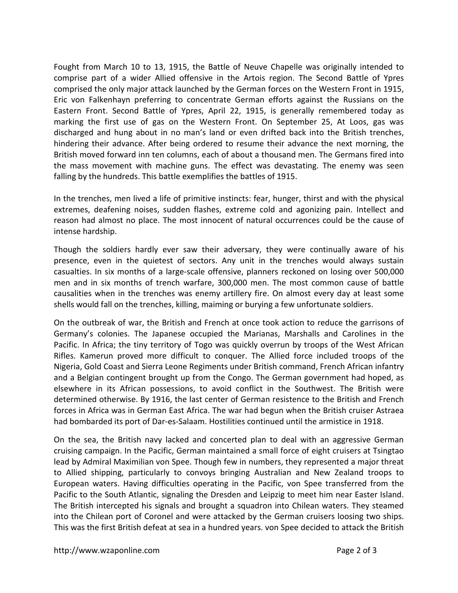Fought from March 10 to 13, 1915, the Battle of Neuve Chapelle was originally intended to comprise part of a wider Allied offensive in the Artois region. The Second Battle of Ypres comprised the only major attack launched by the German forces on the Western Front in 1915, Eric von Falkenhayn preferring to concentrate German efforts against the Russians on the Eastern Front. Second Battle of Ypres, April 22, 1915, is generally remembered today as marking the first use of gas on the Western Front. On September 25, At Loos, gas was discharged and hung about in no man's land or even drifted back into the British trenches, hindering their advance. After being ordered to resume their advance the next morning, the British moved forward inn ten columns, each of about a thousand men. The Germans fired into the mass movement with machine guns. The effect was devastating. The enemy was seen falling by the hundreds. This battle exemplifies the battles of 1915.

In the trenches, men lived a life of primitive instincts: fear, hunger, thirst and with the physical extremes, deafening noises, sudden flashes, extreme cold and agonizing pain. Intellect and reason had almost no place. The most innocent of natural occurrences could be the cause of intense hardship.

Though the soldiers hardly ever saw their adversary, they were continually aware of his presence, even in the quietest of sectors. Any unit in the trenches would always sustain casualties. In six months of a large-scale offensive, planners reckoned on losing over 500,000 men and in six months of trench warfare, 300,000 men. The most common cause of battle causalities when in the trenches was enemy artillery fire. On almost every day at least some shells would fall on the trenches, killing, maiming or burying a few unfortunate soldiers.

On the outbreak of war, the British and French at once took action to reduce the garrisons of Germany's colonies. The Japanese occupied the Marianas, Marshalls and Carolines in the Pacific. In Africa; the tiny territory of Togo was quickly overrun by troops of the West African Rifles. Kamerun proved more difficult to conquer. The Allied force included troops of the Nigeria, Gold Coast and Sierra Leone Regiments under British command, French African infantry and a Belgian contingent brought up from the Congo. The German government had hoped, as elsewhere in its African possessions, to avoid conflict in the Southwest. The British were determined otherwise. By 1916, the last center of German resistence to the British and French forces in Africa was in German East Africa. The war had begun when the British cruiser Astraea had bombarded its port of Dar-es-Salaam. Hostilities continued until the armistice in 1918.

On the sea, the British navy lacked and concerted plan to deal with an aggressive German cruising campaign. In the Pacific, German maintained a small force of eight cruisers at Tsingtao lead by Admiral Maximilian von Spee. Though few in numbers, they represented a major threat to Allied shipping, particularly to convoys bringing Australian and New Zealand troops to European waters. Having difficulties operating in the Pacific, von Spee transferred from the Pacific to the South Atlantic, signaling the Dresden and Leipzig to meet him near Easter Island. The British intercepted his signals and brought a squadron into Chilean waters. They steamed into the Chilean port of Coronel and were attacked by the German cruisers loosing two ships. This was the first British defeat at sea in a hundred years. von Spee decided to attack the British